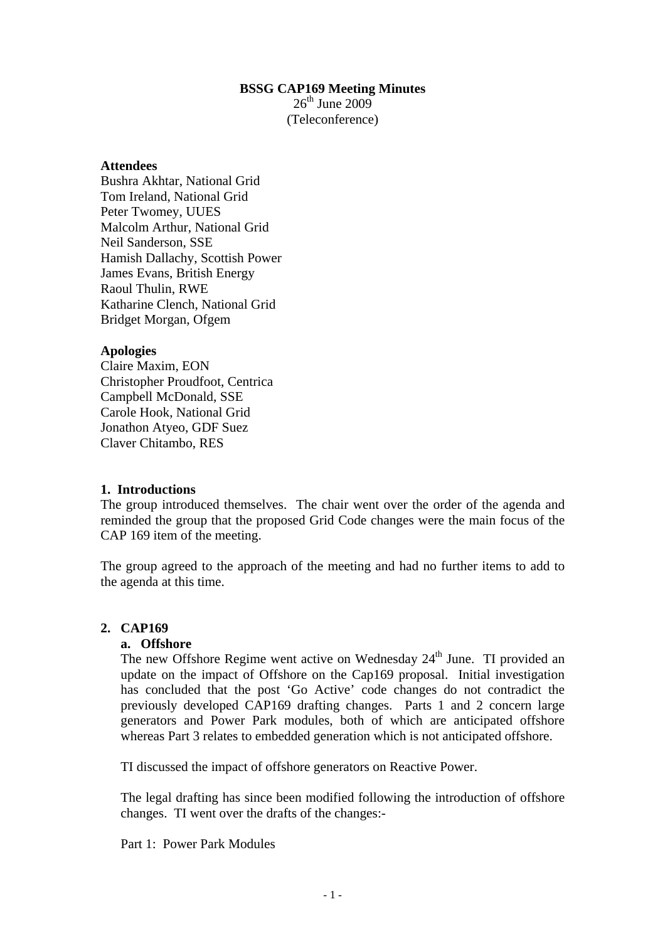## **BSSG CAP169 Meeting Minutes**

 $26<sup>th</sup>$  June 2009 (Teleconference)

#### **Attendees**

Bushra Akhtar, National Grid Tom Ireland, National Grid Peter Twomey, UUES Malcolm Arthur, National Grid Neil Sanderson, SSE Hamish Dallachy, Scottish Power James Evans, British Energy Raoul Thulin, RWE Katharine Clench, National Grid Bridget Morgan, Ofgem

## **Apologies**

Claire Maxim, EON Christopher Proudfoot, Centrica Campbell McDonald, SSE Carole Hook, National Grid Jonathon Atyeo, GDF Suez Claver Chitambo, RES

#### **1. Introductions**

The group introduced themselves. The chair went over the order of the agenda and reminded the group that the proposed Grid Code changes were the main focus of the CAP 169 item of the meeting.

The group agreed to the approach of the meeting and had no further items to add to the agenda at this time.

# **2. CAP169**

#### **a. Offshore**

The new Offshore Regime went active on Wednesday  $24<sup>th</sup>$  June. TI provided an update on the impact of Offshore on the Cap169 proposal. Initial investigation has concluded that the post 'Go Active' code changes do not contradict the previously developed CAP169 drafting changes. Parts 1 and 2 concern large generators and Power Park modules, both of which are anticipated offshore whereas Part 3 relates to embedded generation which is not anticipated offshore.

TI discussed the impact of offshore generators on Reactive Power.

The legal drafting has since been modified following the introduction of offshore changes. TI went over the drafts of the changes:-

Part 1: Power Park Modules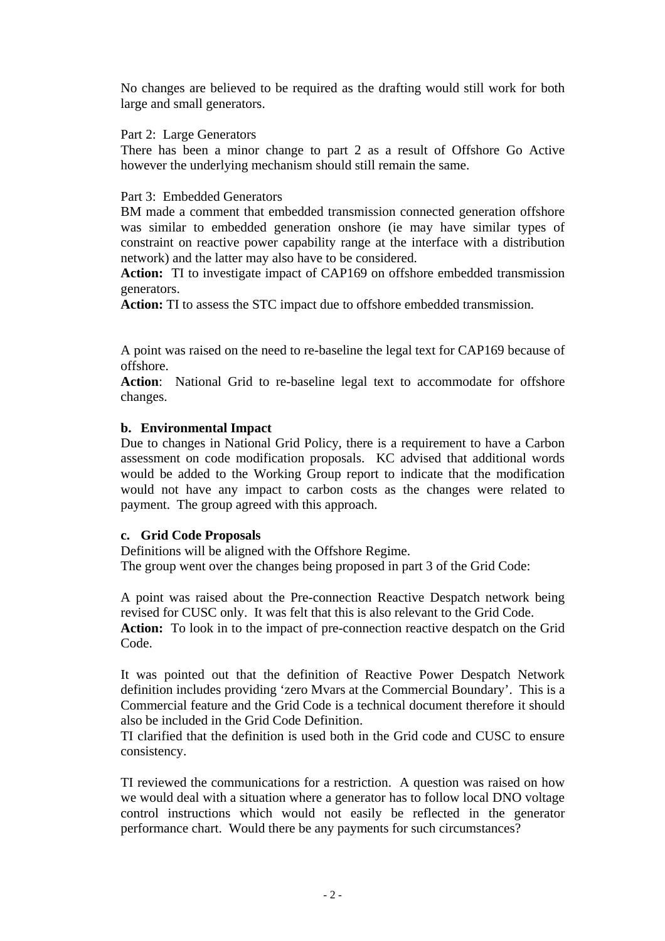No changes are believed to be required as the drafting would still work for both large and small generators.

Part 2: Large Generators

There has been a minor change to part 2 as a result of Offshore Go Active however the underlying mechanism should still remain the same.

#### Part 3: Embedded Generators

BM made a comment that embedded transmission connected generation offshore was similar to embedded generation onshore (ie may have similar types of constraint on reactive power capability range at the interface with a distribution network) and the latter may also have to be considered.

**Action:** TI to investigate impact of CAP169 on offshore embedded transmission generators.

**Action:** TI to assess the STC impact due to offshore embedded transmission.

A point was raised on the need to re-baseline the legal text for CAP169 because of offshore.

**Action**: National Grid to re-baseline legal text to accommodate for offshore changes.

#### **b. Environmental Impact**

Due to changes in National Grid Policy, there is a requirement to have a Carbon assessment on code modification proposals. KC advised that additional words would be added to the Working Group report to indicate that the modification would not have any impact to carbon costs as the changes were related to payment. The group agreed with this approach.

#### **c. Grid Code Proposals**

Definitions will be aligned with the Offshore Regime. The group went over the changes being proposed in part 3 of the Grid Code:

A point was raised about the Pre-connection Reactive Despatch network being revised for CUSC only. It was felt that this is also relevant to the Grid Code. **Action:** To look in to the impact of pre-connection reactive despatch on the Grid Code.

It was pointed out that the definition of Reactive Power Despatch Network definition includes providing 'zero Mvars at the Commercial Boundary'. This is a Commercial feature and the Grid Code is a technical document therefore it should also be included in the Grid Code Definition.

TI clarified that the definition is used both in the Grid code and CUSC to ensure consistency.

TI reviewed the communications for a restriction. A question was raised on how we would deal with a situation where a generator has to follow local DNO voltage control instructions which would not easily be reflected in the generator performance chart. Would there be any payments for such circumstances?